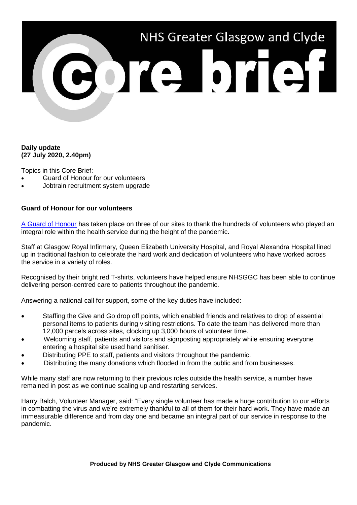

## **Daily update (27 July 2020, 2.40pm)**

Topics in this Core Brief:

- Guard of Honour for our volunteers
- Jobtrain recruitment system upgrade

## **Guard of Honour for our volunteers**

[A Guard of Honour](https://www.youtube.com/watch?v=Y2lJbqf9Uns) has taken place on three of our sites to thank the hundreds of volunteers who played an integral role within the health service during the height of the pandemic.

Staff at Glasgow Royal Infirmary, Queen Elizabeth University Hospital, and Royal Alexandra Hospital lined up in traditional fashion to celebrate the hard work and dedication of volunteers who have worked across the service in a variety of roles.

Recognised by their bright red T-shirts, volunteers have helped ensure NHSGGC has been able to continue delivering person-centred care to patients throughout the pandemic.

Answering a national call for support, some of the key duties have included:

- Staffing the Give and Go drop off points, which enabled friends and relatives to drop of essential personal items to patients during visiting restrictions. To date the team has delivered more than 12,000 parcels across sites, clocking up 3,000 hours of volunteer time.
- Welcoming staff, patients and visitors and signposting appropriately while ensuring everyone entering a hospital site used hand sanitiser.
- Distributing PPE to staff, patients and visitors throughout the pandemic.
- Distributing the many donations which flooded in from the public and from businesses.

While many staff are now returning to their previous roles outside the health service, a number have remained in post as we continue scaling up and restarting services.

Harry Balch, Volunteer Manager, said: "Every single volunteer has made a huge contribution to our efforts in combatting the virus and we're extremely thankful to all of them for their hard work. They have made an immeasurable difference and from day one and became an integral part of our service in response to the pandemic.

**Produced by NHS Greater Glasgow and Clyde Communications**